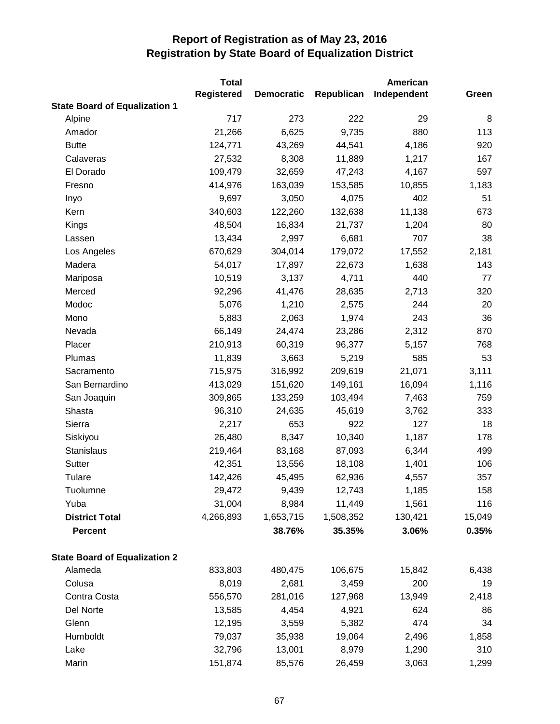|                                      | <b>Total</b>      |                   |            | American    |        |
|--------------------------------------|-------------------|-------------------|------------|-------------|--------|
|                                      | <b>Registered</b> | <b>Democratic</b> | Republican | Independent | Green  |
| <b>State Board of Equalization 1</b> |                   |                   |            |             |        |
| Alpine                               | 717               | 273               | 222        | 29          | 8      |
| Amador                               | 21,266            | 6,625             | 9,735      | 880         | 113    |
| <b>Butte</b>                         | 124,771           | 43,269            | 44,541     | 4,186       | 920    |
| Calaveras                            | 27,532            | 8,308             | 11,889     | 1,217       | 167    |
| El Dorado                            | 109,479           | 32,659            | 47,243     | 4,167       | 597    |
| Fresno                               | 414,976           | 163,039           | 153,585    | 10,855      | 1,183  |
| Inyo                                 | 9,697             | 3,050             | 4,075      | 402         | 51     |
| Kern                                 | 340,603           | 122,260           | 132,638    | 11,138      | 673    |
| Kings                                | 48,504            | 16,834            | 21,737     | 1,204       | 80     |
| Lassen                               | 13,434            | 2,997             | 6,681      | 707         | 38     |
| Los Angeles                          | 670,629           | 304,014           | 179,072    | 17,552      | 2,181  |
| Madera                               | 54,017            | 17,897            | 22,673     | 1,638       | 143    |
| Mariposa                             | 10,519            | 3,137             | 4,711      | 440         | 77     |
| Merced                               | 92,296            | 41,476            | 28,635     | 2,713       | 320    |
| Modoc                                | 5,076             | 1,210             | 2,575      | 244         | 20     |
| Mono                                 | 5,883             | 2,063             | 1,974      | 243         | 36     |
| Nevada                               | 66,149            | 24,474            | 23,286     | 2,312       | 870    |
| Placer                               | 210,913           | 60,319            | 96,377     | 5,157       | 768    |
| Plumas                               | 11,839            | 3,663             | 5,219      | 585         | 53     |
| Sacramento                           | 715,975           | 316,992           | 209,619    | 21,071      | 3,111  |
| San Bernardino                       | 413,029           | 151,620           | 149,161    | 16,094      | 1,116  |
| San Joaquin                          | 309,865           | 133,259           | 103,494    | 7,463       | 759    |
| Shasta                               | 96,310            | 24,635            | 45,619     | 3,762       | 333    |
| Sierra                               | 2,217             | 653               | 922        | 127         | 18     |
| Siskiyou                             | 26,480            | 8,347             | 10,340     | 1,187       | 178    |
| Stanislaus                           | 219,464           | 83,168            | 87,093     | 6,344       | 499    |
| Sutter                               | 42,351            | 13,556            | 18,108     | 1,401       | 106    |
| Tulare                               | 142,426           | 45,495            | 62,936     | 4,557       | 357    |
| Tuolumne                             | 29,472            | 9,439             | 12,743     | 1,185       | 158    |
| Yuba                                 | 31,004            | 8,984             | 11,449     | 1,561       | 116    |
| <b>District Total</b>                | 4,266,893         | 1,653,715         | 1,508,352  | 130,421     | 15,049 |
| <b>Percent</b>                       |                   | 38.76%            | 35.35%     | 3.06%       | 0.35%  |
| <b>State Board of Equalization 2</b> |                   |                   |            |             |        |
| Alameda                              | 833,803           | 480,475           | 106,675    | 15,842      | 6,438  |
| Colusa                               | 8,019             | 2,681             | 3,459      | 200         | 19     |
| Contra Costa                         | 556,570           | 281,016           | 127,968    | 13,949      | 2,418  |
| Del Norte                            | 13,585            | 4,454             | 4,921      | 624         | 86     |
| Glenn                                | 12,195            | 3,559             | 5,382      | 474         | 34     |
| Humboldt                             | 79,037            | 35,938            | 19,064     | 2,496       | 1,858  |
| Lake                                 | 32,796            | 13,001            | 8,979      | 1,290       | 310    |
| Marin                                | 151,874           | 85,576            | 26,459     | 3,063       | 1,299  |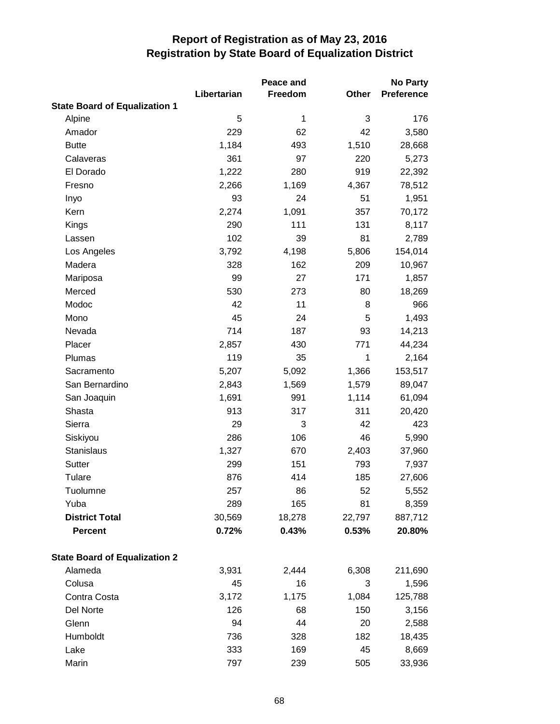|                                      |             | Peace and |        | <b>No Party</b>   |
|--------------------------------------|-------------|-----------|--------|-------------------|
|                                      | Libertarian | Freedom   | Other  | <b>Preference</b> |
| <b>State Board of Equalization 1</b> |             |           |        |                   |
| Alpine                               | 5           | 1         | 3      | 176               |
| Amador                               | 229         | 62        | 42     | 3,580             |
| <b>Butte</b>                         | 1,184       | 493       | 1,510  | 28,668            |
| Calaveras                            | 361         | 97        | 220    | 5,273             |
| El Dorado                            | 1,222       | 280       | 919    | 22,392            |
| Fresno                               | 2,266       | 1,169     | 4,367  | 78,512            |
| Inyo                                 | 93          | 24        | 51     | 1,951             |
| Kern                                 | 2,274       | 1,091     | 357    | 70,172            |
| Kings                                | 290         | 111       | 131    | 8,117             |
| Lassen                               | 102         | 39        | 81     | 2,789             |
| Los Angeles                          | 3,792       | 4,198     | 5,806  | 154,014           |
| Madera                               | 328         | 162       | 209    | 10,967            |
| Mariposa                             | 99          | 27        | 171    | 1,857             |
| Merced                               | 530         | 273       | 80     | 18,269            |
| Modoc                                | 42          | 11        | 8      | 966               |
| Mono                                 | 45          | 24        | 5      | 1,493             |
| Nevada                               | 714         | 187       | 93     | 14,213            |
| Placer                               | 2,857       | 430       | 771    | 44,234            |
| Plumas                               | 119         | 35        | 1      | 2,164             |
| Sacramento                           | 5,207       | 5,092     | 1,366  | 153,517           |
| San Bernardino                       | 2,843       | 1,569     | 1,579  | 89,047            |
| San Joaquin                          | 1,691       | 991       | 1,114  | 61,094            |
| Shasta                               | 913         | 317       | 311    | 20,420            |
| Sierra                               | 29          | 3         | 42     | 423               |
| Siskiyou                             | 286         | 106       | 46     | 5,990             |
| Stanislaus                           | 1,327       | 670       | 2,403  | 37,960            |
| <b>Sutter</b>                        | 299         | 151       | 793    | 7,937             |
| Tulare                               | 876         | 414       | 185    | 27,606            |
| Tuolumne                             | 257         | 86        | 52     | 5,552             |
| Yuba                                 | 289         | 165       | 81     | 8,359             |
| <b>District Total</b>                | 30,569      | 18,278    | 22,797 | 887,712           |
| Percent                              | 0.72%       | 0.43%     | 0.53%  | 20.80%            |
| <b>State Board of Equalization 2</b> |             |           |        |                   |
| Alameda                              | 3,931       | 2,444     | 6,308  | 211,690           |
| Colusa                               | 45          | 16        | 3      | 1,596             |
| Contra Costa                         | 3,172       | 1,175     | 1,084  | 125,788           |
| Del Norte                            | 126         | 68        | 150    | 3,156             |
| Glenn                                | 94          | 44        | 20     | 2,588             |
| Humboldt                             | 736         | 328       | 182    | 18,435            |
| Lake                                 | 333         | 169       | 45     | 8,669             |
| Marin                                | 797         | 239       | 505    | 33,936            |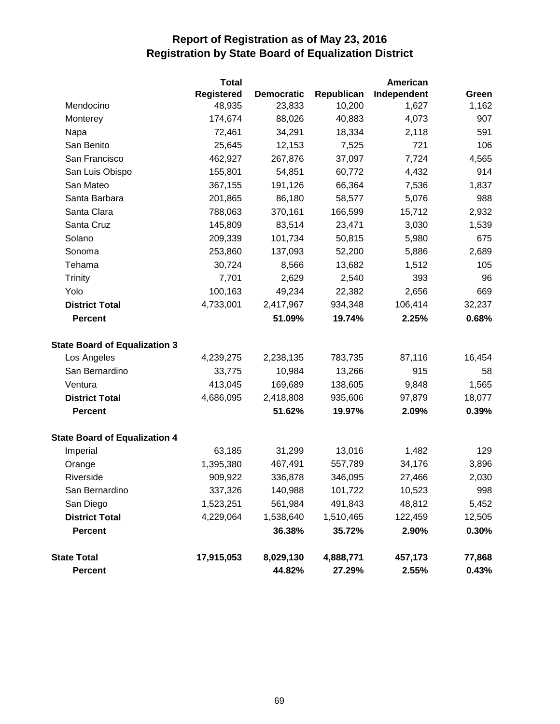|                                      | <b>Total</b> |                   | American   |             |        |  |
|--------------------------------------|--------------|-------------------|------------|-------------|--------|--|
|                                      | Registered   | <b>Democratic</b> | Republican | Independent | Green  |  |
| Mendocino                            | 48,935       | 23,833            | 10,200     | 1,627       | 1,162  |  |
| Monterey                             | 174,674      | 88,026            | 40,883     | 4,073       | 907    |  |
| Napa                                 | 72,461       | 34,291            | 18,334     | 2,118       | 591    |  |
| San Benito                           | 25,645       | 12,153            | 7,525      | 721         | 106    |  |
| San Francisco                        | 462,927      | 267,876           | 37,097     | 7,724       | 4,565  |  |
| San Luis Obispo                      | 155,801      | 54,851            | 60,772     | 4,432       | 914    |  |
| San Mateo                            | 367,155      | 191,126           | 66,364     | 7,536       | 1,837  |  |
| Santa Barbara                        | 201,865      | 86,180            | 58,577     | 5,076       | 988    |  |
| Santa Clara                          | 788,063      | 370,161           | 166,599    | 15,712      | 2,932  |  |
| Santa Cruz                           | 145,809      | 83,514            | 23,471     | 3,030       | 1,539  |  |
| Solano                               | 209,339      | 101,734           | 50,815     | 5,980       | 675    |  |
| Sonoma                               | 253,860      | 137,093           | 52,200     | 5,886       | 2,689  |  |
| Tehama                               | 30,724       | 8,566             | 13,682     | 1,512       | 105    |  |
| <b>Trinity</b>                       | 7,701        | 2,629             | 2,540      | 393         | 96     |  |
| Yolo                                 | 100,163      | 49,234            | 22,382     | 2,656       | 669    |  |
| <b>District Total</b>                | 4,733,001    | 2,417,967         | 934,348    | 106,414     | 32,237 |  |
| <b>Percent</b>                       |              | 51.09%            | 19.74%     | 2.25%       | 0.68%  |  |
| <b>State Board of Equalization 3</b> |              |                   |            |             |        |  |
| Los Angeles                          | 4,239,275    | 2,238,135         | 783,735    | 87,116      | 16,454 |  |
| San Bernardino                       | 33,775       | 10,984            | 13,266     | 915         | 58     |  |
| Ventura                              | 413,045      | 169,689           | 138,605    | 9,848       | 1,565  |  |
| <b>District Total</b>                | 4,686,095    | 2,418,808         | 935,606    | 97,879      | 18,077 |  |
| <b>Percent</b>                       |              | 51.62%            | 19.97%     | 2.09%       | 0.39%  |  |
| <b>State Board of Equalization 4</b> |              |                   |            |             |        |  |
| Imperial                             | 63,185       | 31,299            | 13,016     | 1,482       | 129    |  |
| Orange                               | 1,395,380    | 467,491           | 557,789    | 34,176      | 3,896  |  |
| Riverside                            | 909,922      | 336,878           | 346,095    | 27,466      | 2,030  |  |
| San Bernardino                       | 337,326      | 140,988           | 101,722    | 10,523      | 998    |  |
| San Diego                            | 1,523,251    | 561,984           | 491,843    | 48,812      | 5,452  |  |
| <b>District Total</b>                | 4,229,064    | 1,538,640         | 1,510,465  | 122,459     | 12,505 |  |
| <b>Percent</b>                       |              | 36.38%            | 35.72%     | 2.90%       | 0.30%  |  |
| <b>State Total</b>                   | 17,915,053   | 8,029,130         | 4,888,771  | 457,173     | 77,868 |  |
| <b>Percent</b>                       |              | 44.82%            | 27.29%     | 2.55%       | 0.43%  |  |